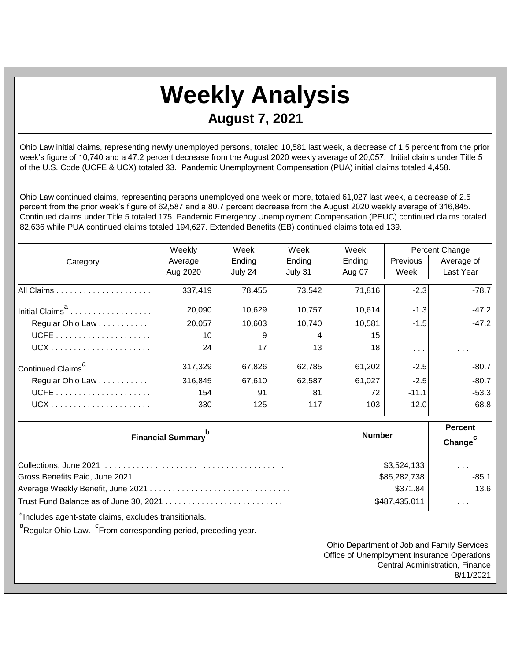## **Weekly Analysis August 7, 2021**

Ohio Law initial claims, representing newly unemployed persons, totaled 10,581 last week, a decrease of 1.5 percent from the prior week's figure of 10,740 and a 47.2 percent decrease from the August 2020 weekly average of 20,057. Initial claims under Title 5 of the U.S. Code (UCFE & UCX) totaled 33. Pandemic Unemployment Compensation (PUA) initial claims totaled 4,458.

Ohio Law continued claims, representing persons unemployed one week or more, totaled 61,027 last week, a decrease of 2.5 percent from the prior week's figure of 62,587 and a 80.7 percent decrease from the August 2020 weekly average of 316,845. Continued claims under Title 5 totaled 175. Pandemic Emergency Unemployment Compensation (PEUC) continued claims totaled 82,636 while PUA continued claims totaled 194,627. Extended Benefits (EB) continued claims totaled 139.

|                               | Weekly          | Week    | Week    | Week   | <b>Percent Change</b>   |                  |
|-------------------------------|-----------------|---------|---------|--------|-------------------------|------------------|
| Category                      | Average         | Ending  | Ending  | Ending | Previous                | Average of       |
|                               | Aug 2020        | July 24 | July 31 | Aug 07 | Week                    | <b>Last Year</b> |
|                               | 337,419         | 78,455  | 73,542  | 71,816 | $-2.3$                  | $-78.7$          |
| Initial Claims <sup>a</sup>   | 20,090          | 10,629  | 10,757  | 10,614 | $-1.3$                  | $-47.2$          |
| Regular Ohio Law              | 20,057          | 10,603  | 10,740  | 10,581 | $-1.5$                  | $-47.2$          |
|                               | 10 <sup>°</sup> | 9       | 4       | 15     | $\sim$ 100 $\pm$        | $\sim 100$       |
|                               | 24              | 17      | 13      | 18     | $\sim 100$ km s $^{-1}$ | $\cdots$         |
| Continued Claims <sup>a</sup> | 317,329         | 67,826  | 62,785  | 61,202 | $-2.5$                  | $-80.7$          |
| Regular Ohio Law              | 316,845         | 67,610  | 62,587  | 61,027 | $-2.5$                  | $-80.7$          |
|                               | 154             | 91      | 81      | 72     | $-11.1$                 | $-53.3$          |
|                               | 330             | 125     | 117     | 103    | $-12.0$                 | $-68.8$          |

| <b>Financial Summary</b> | <b>Number</b> | <b>Percent</b><br>Change <sup>1</sup> |
|--------------------------|---------------|---------------------------------------|
|                          | \$3,524,133   | $\cdot$ $\cdot$ $\cdot$               |
|                          | \$85,282,738  | $-85.1$                               |
|                          | \$371.84      | 13.6                                  |
|                          | \$487,435,011 | .                                     |

<sup>a</sup>Includes agent-state claims, excludes transitionals.

<sup>b</sup>Regular Ohio Law. <sup>C</sup>From corresponding period, preceding year.

Ohio Department of Job and Family Services Office of Unemployment Insurance Operations Central Administration, Finance 8/11/2021